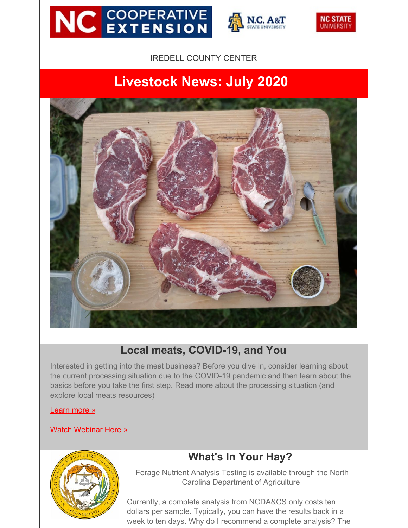





IREDELL COUNTY CENTER

# **Livestock News: July 2020**



# **Local meats, COVID-19, and You**

Interested in getting into the meat business? Before you dive in, consider learning about the current processing situation due to the COVID-19 pandemic and then learn about the basics before you take the first step. Read more about the processing situation (and explore local meats resources)

#### [Learn](https://cefs.ncsu.edu/food-system-initiatives/nc-choices/getting-started-faqs/?fbclid=IwAR2bK_1rjc2B9Z7XVXCtUO_lKu_q0y2mpd28MsVqfFYm_oJB-dTy1Ec6j-k) more »

#### Watch [Webinar](https://www.youtube.com/watch?v=UptYYd7R_mw&list=PLOH1hpUswvJ4l-imEOWOi3R1E07MNsbcn&index=2&t=12s&fbclid=IwAR1gAssDeZ215f3OZzN2r-hfgGGKswxMhNqpqiHssLLQGPHonAr4d06zpKU) Here »



# **What's In Your Hay?**

Forage Nutrient Analysis Testing is available through the North Carolina Department of Agriculture

Currently, a complete analysis from NCDA&CS only costs ten dollars per sample. Typically, you can have the results back in a week to ten days. Why do I recommend a complete analysis? The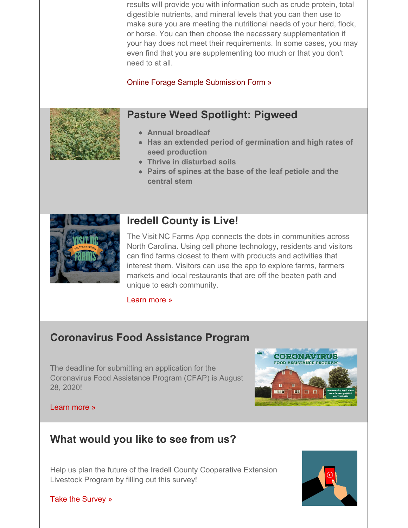results will provide you with information such as crude protein, total digestible nutrients, and mineral levels that you can then use to make sure you are meeting the nutritional needs of your herd, flock, or horse. You can then choose the necessary supplementation if your hay does not meet their requirements. In some cases, you may even find that you are supplementing too much or that you don't need to at all.

### Online Forage Sample [Submission](https://apps.ncagr.gov/agrsysportal/forageanalysis/analysisform) Form »



### **Pasture Weed Spotlight: Pigweed**

- **Annual broadleaf**
- **Has an extended period of germination and high rates of seed production**
- **Thrive in disturbed soils**
- **Pairs of spines at the base of the leaf petiole and the central stem**



### **Iredell County is Live!**

The Visit NC Farms App connects the dots in communities across North Carolina. Using cell phone technology, residents and visitors can find farms closest to them with products and activities that interest them. Visitors can use the app to explore farms, farmers markets and local restaurants that are off the beaten path and unique to each community.

#### [Learn](http://www.visitncfarmstoday.com) more »

### **Coronavirus Food Assistance Program**

The deadline for submitting an application for the Coronavirus Food Assistance Program (CFAP) is August 28, 2020!



[Learn](http://farmers.gov/cfap) more »

## **What would you like to see from us?**

Help us plan the future of the Iredell County Cooperative Extension Livestock Program by filling out this survey!



Take the [Survey](https://docs.google.com/forms/d/e/1FAIpQLScPH_Eq0JhXlWzGYm2rYc7GedQe3lctB7Fi-VB8orDTR-vb_g/viewform?usp=sf_link) »